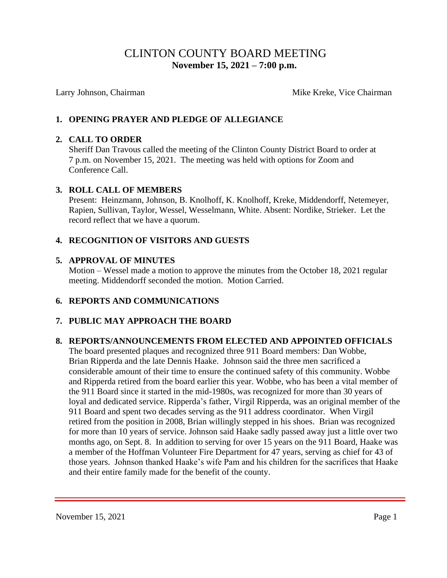# CLINTON COUNTY BOARD MEETING  **November 15, 2021 – 7:00 p.m.**

Larry Johnson, Chairman Mike Kreke, Vice Chairman Mike Kreke, Vice Chairman

# **1. OPENING PRAYER AND PLEDGE OF ALLEGIANCE**

### **2. CALL TO ORDER**

Sheriff Dan Travous called the meeting of the Clinton County District Board to order at 7 p.m. on November 15, 2021. The meeting was held with options for Zoom and Conference Call.

### **3. ROLL CALL OF MEMBERS**

Present: Heinzmann, Johnson, B. Knolhoff, K. Knolhoff, Kreke, Middendorff, Netemeyer, Rapien, Sullivan, Taylor, Wessel, Wesselmann, White. Absent: Nordike, Strieker. Let the record reflect that we have a quorum.

## **4. RECOGNITION OF VISITORS AND GUESTS**

### **5. APPROVAL OF MINUTES**

Motion – Wessel made a motion to approve the minutes from the October 18, 2021 regular meeting. Middendorff seconded the motion. Motion Carried.

## **6. REPORTS AND COMMUNICATIONS**

## **7. PUBLIC MAY APPROACH THE BOARD**

## **8. REPORTS/ANNOUNCEMENTS FROM ELECTED AND APPOINTED OFFICIALS**

The board presented plaques and recognized three 911 Board members: Dan Wobbe, Brian Ripperda and the late Dennis Haake. Johnson said the three men sacrificed a considerable amount of their time to ensure the continued safety of this community. Wobbe and Ripperda retired from the board earlier this year. Wobbe, who has been a vital member of the 911 Board since it started in the mid-1980s, was recognized for more than 30 years of loyal and dedicated service. Ripperda's father, Virgil Ripperda, was an original member of the 911 Board and spent two decades serving as the 911 address coordinator. When Virgil retired from the position in 2008, Brian willingly stepped in his shoes. Brian was recognized for more than 10 years of service. Johnson said Haake sadly passed away just a little over two months ago, on Sept. 8. In addition to serving for over 15 years on the 911 Board, Haake was a member of the Hoffman Volunteer Fire Department for 47 years, serving as chief for 43 of those years. Johnson thanked Haake's wife Pam and his children for the sacrifices that Haake and their entire family made for the benefit of the county.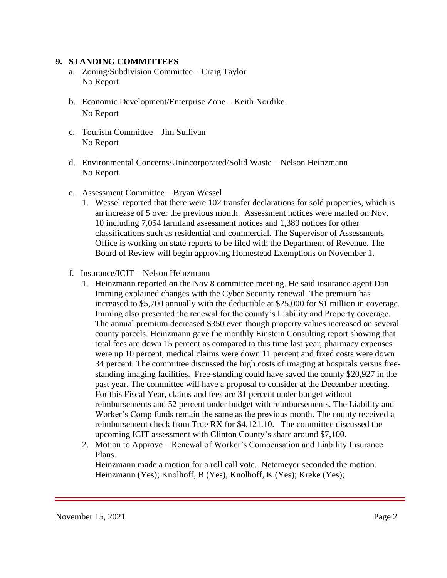#### **9. STANDING COMMITTEES**

- a. Zoning/Subdivision Committee Craig Taylor No Report
- b. Economic Development/Enterprise Zone Keith Nordike No Report
- c. Tourism Committee Jim Sullivan No Report
- d. Environmental Concerns/Unincorporated/Solid Waste Nelson Heinzmann No Report
- e. Assessment Committee Bryan Wessel
	- 1. Wessel reported that there were 102 transfer declarations for sold properties, which is an increase of 5 over the previous month. Assessment notices were mailed on Nov. 10 including 7,054 farmland assessment notices and 1,389 notices for other classifications such as residential and commercial. The Supervisor of Assessments Office is working on state reports to be filed with the Department of Revenue. The Board of Review will begin approving Homestead Exemptions on November 1.
- f. Insurance/ICIT Nelson Heinzmann
	- 1. Heinzmann reported on the Nov 8 committee meeting. He said insurance agent Dan Imming explained changes with the Cyber Security renewal. The premium has increased to \$5,700 annually with the deductible at \$25,000 for \$1 million in coverage. Imming also presented the renewal for the county's Liability and Property coverage. The annual premium decreased \$350 even though property values increased on several county parcels. Heinzmann gave the monthly Einstein Consulting report showing that total fees are down 15 percent as compared to this time last year, pharmacy expenses were up 10 percent, medical claims were down 11 percent and fixed costs were down 34 percent. The committee discussed the high costs of imaging at hospitals versus free standing imaging facilities. Free-standing could have saved the county \$20,927 in the past year. The committee will have a proposal to consider at the December meeting. For this Fiscal Year, claims and fees are 31 percent under budget without reimbursements and 52 percent under budget with reimbursements. The Liability and Worker's Comp funds remain the same as the previous month. The county received a reimbursement check from True RX for \$4,121.10. The committee discussed the upcoming ICIT assessment with Clinton County's share around \$7,100.
	- 2. Motion to Approve Renewal of Worker's Compensation and Liability Insurance Plans.

 Heinzmann made a motion for a roll call vote. Netemeyer seconded the motion. Heinzmann (Yes); Knolhoff, B (Yes), Knolhoff, K (Yes); Kreke (Yes);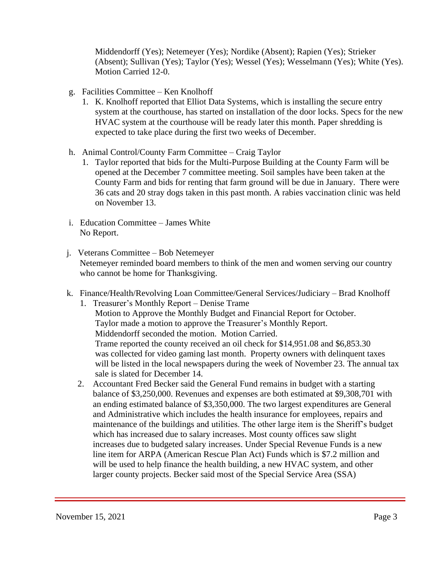Middendorff (Yes); Netemeyer (Yes); Nordike (Absent); Rapien (Yes); Strieker (Absent); Sullivan (Yes); Taylor (Yes); Wessel (Yes); Wesselmann (Yes); White (Yes). Motion Carried 12-0.

- g. Facilities Committee Ken Knolhoff
	- 1. K. Knolhoff reported that Elliot Data Systems, which is installing the secure entry system at the courthouse, has started on installation of the door locks. Specs for the new HVAC system at the courthouse will be ready later this month. Paper shredding is expected to take place during the first two weeks of December.
- h. Animal Control/County Farm Committee Craig Taylor
	- 1. Taylor reported that bids for the Multi-Purpose Building at the County Farm will be opened at the December 7 committee meeting. Soil samples have been taken at the County Farm and bids for renting that farm ground will be due in January. There were 36 cats and 20 stray dogs taken in this past month. A rabies vaccination clinic was held on November 13.
- i. Education Committee James White No Report.
- j. Veterans Committee Bob Netemeyer Netemeyer reminded board members to think of the men and women serving our country who cannot be home for Thanksgiving.
- k. Finance/Health/Revolving Loan Committee/General Services/Judiciary Brad Knolhoff
	- 1. Treasurer's Monthly Report Denise Trame Motion to Approve the Monthly Budget and Financial Report for October. Taylor made a motion to approve the Treasurer's Monthly Report. Middendorff seconded the motion. Motion Carried. Trame reported the county received an oil check for \$14,951.08 and \$6,853.30 was collected for video gaming last month. Property owners with delinquent taxes will be listed in the local newspapers during the week of November 23. The annual tax sale is slated for December 14.
	- 2. Accountant Fred Becker said the General Fund remains in budget with a starting balance of \$3,250,000. Revenues and expenses are both estimated at \$9,308,701 with an ending estimated balance of \$3,350,000. The two largest expenditures are General and Administrative which includes the health insurance for employees, repairs and maintenance of the buildings and utilities. The other large item is the Sheriff's budget which has increased due to salary increases. Most county offices saw slight increases due to budgeted salary increases. Under Special Revenue Funds is a new line item for ARPA (American Rescue Plan Act) Funds which is \$7.2 million and will be used to help finance the health building, a new HVAC system, and other larger county projects. Becker said most of the Special Service Area (SSA)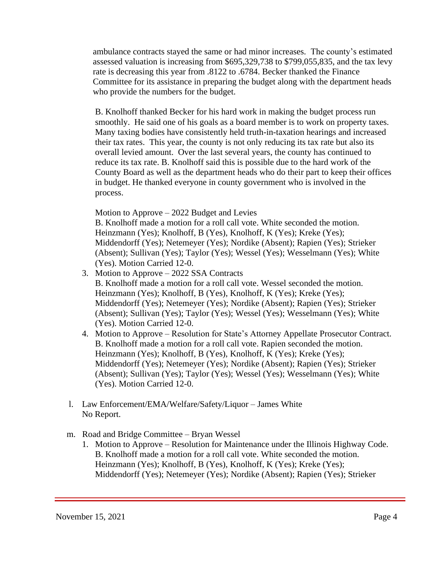ambulance contracts stayed the same or had minor increases. The county's estimated assessed valuation is increasing from \$695,329,738 to \$799,055,835, and the tax levy rate is decreasing this year from .8122 to .6784. Becker thanked the Finance Committee for its assistance in preparing the budget along with the department heads who provide the numbers for the budget.

 B. Knolhoff thanked Becker for his hard work in making the budget process run smoothly. He said one of his goals as a board member is to work on property taxes. Many taxing bodies have consistently held truth-in-taxation hearings and increased their tax rates. This year, the county is not only reducing its tax rate but also its overall levied amount. Over the last several years, the county has continued to reduce its tax rate. B. Knolhoff said this is possible due to the hard work of the County Board as well as the department heads who do their part to keep their offices in budget. He thanked everyone in county government who is involved in the process.

Motion to Approve – 2022 Budget and Levies

 B. Knolhoff made a motion for a roll call vote. White seconded the motion. Heinzmann (Yes); Knolhoff, B (Yes), Knolhoff, K (Yes); Kreke (Yes); Middendorff (Yes); Netemeyer (Yes); Nordike (Absent); Rapien (Yes); Strieker (Absent); Sullivan (Yes); Taylor (Yes); Wessel (Yes); Wesselmann (Yes); White (Yes). Motion Carried 12-0.

- 3. Motion to Approve 2022 SSA Contracts B. Knolhoff made a motion for a roll call vote. Wessel seconded the motion. Heinzmann (Yes); Knolhoff, B (Yes), Knolhoff, K (Yes); Kreke (Yes); Middendorff (Yes); Netemeyer (Yes); Nordike (Absent); Rapien (Yes); Strieker (Absent); Sullivan (Yes); Taylor (Yes); Wessel (Yes); Wesselmann (Yes); White (Yes). Motion Carried 12-0.
- 4. Motion to Approve Resolution for State's Attorney Appellate Prosecutor Contract. B. Knolhoff made a motion for a roll call vote. Rapien seconded the motion. Heinzmann (Yes); Knolhoff, B (Yes), Knolhoff, K (Yes); Kreke (Yes); Middendorff (Yes); Netemeyer (Yes); Nordike (Absent); Rapien (Yes); Strieker (Absent); Sullivan (Yes); Taylor (Yes); Wessel (Yes); Wesselmann (Yes); White (Yes). Motion Carried 12-0.
- l. Law Enforcement/EMA/Welfare/Safety/Liquor James White No Report.
- m. Road and Bridge Committee Bryan Wessel
	- 1. Motion to Approve Resolution for Maintenance under the Illinois Highway Code. B. Knolhoff made a motion for a roll call vote. White seconded the motion. Heinzmann (Yes); Knolhoff, B (Yes), Knolhoff, K (Yes); Kreke (Yes); Middendorff (Yes); Netemeyer (Yes); Nordike (Absent); Rapien (Yes); Strieker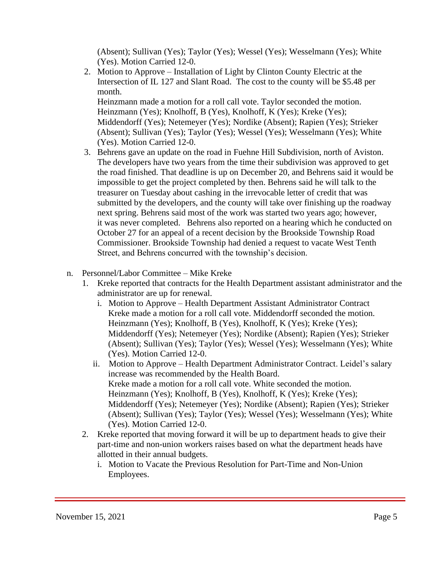(Absent); Sullivan (Yes); Taylor (Yes); Wessel (Yes); Wesselmann (Yes); White (Yes). Motion Carried 12-0.

2. Motion to Approve – Installation of Light by Clinton County Electric at the Intersection of IL 127 and Slant Road. The cost to the county will be \$5.48 per month.

 Heinzmann made a motion for a roll call vote. Taylor seconded the motion. Heinzmann (Yes); Knolhoff, B (Yes), Knolhoff, K (Yes); Kreke (Yes); Middendorff (Yes); Netemeyer (Yes); Nordike (Absent); Rapien (Yes); Strieker (Absent); Sullivan (Yes); Taylor (Yes); Wessel (Yes); Wesselmann (Yes); White (Yes). Motion Carried 12-0.

- 3. Behrens gave an update on the road in Fuehne Hill Subdivision, north of Aviston. The developers have two years from the time their subdivision was approved to get the road finished. That deadline is up on December 20, and Behrens said it would be impossible to get the project completed by then. Behrens said he will talk to the treasurer on Tuesday about cashing in the irrevocable letter of credit that was submitted by the developers, and the county will take over finishing up the roadway next spring. Behrens said most of the work was started two years ago; however, it was never completed. Behrens also reported on a hearing which he conducted on October 27 for an appeal of a recent decision by the Brookside Township Road Commissioner. Brookside Township had denied a request to vacate West Tenth Street, and Behrens concurred with the township's decision.
- n. Personnel/Labor Committee Mike Kreke
	- 1. Kreke reported that contracts for the Health Department assistant administrator and the administrator are up for renewal.
		- i. Motion to Approve Health Department Assistant Administrator Contract Kreke made a motion for a roll call vote. Middendorff seconded the motion. Heinzmann (Yes); Knolhoff, B (Yes), Knolhoff, K (Yes); Kreke (Yes); Middendorff (Yes); Netemeyer (Yes); Nordike (Absent); Rapien (Yes); Strieker (Absent); Sullivan (Yes); Taylor (Yes); Wessel (Yes); Wesselmann (Yes); White (Yes). Motion Carried 12-0.
		- ii. Motion to Approve Health Department Administrator Contract. Leidel's salary increase was recommended by the Health Board. Kreke made a motion for a roll call vote. White seconded the motion. Heinzmann (Yes); Knolhoff, B (Yes), Knolhoff, K (Yes); Kreke (Yes); Middendorff (Yes); Netemeyer (Yes); Nordike (Absent); Rapien (Yes); Strieker (Absent); Sullivan (Yes); Taylor (Yes); Wessel (Yes); Wesselmann (Yes); White (Yes). Motion Carried 12-0.
	- 2. Kreke reported that moving forward it will be up to department heads to give their part-time and non-union workers raises based on what the department heads have allotted in their annual budgets.
		- i. Motion to Vacate the Previous Resolution for Part-Time and Non-Union Employees.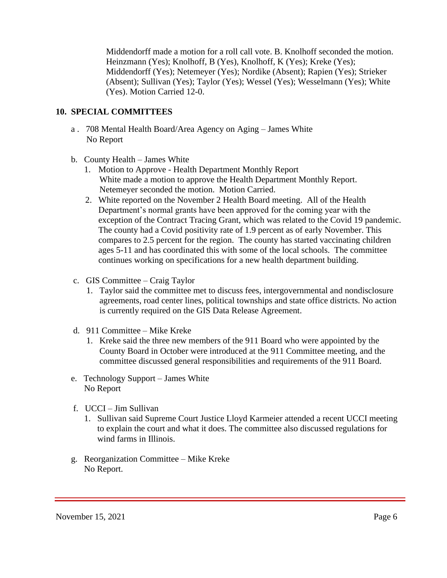Middendorff made a motion for a roll call vote. B. Knolhoff seconded the motion. Heinzmann (Yes); Knolhoff, B (Yes), Knolhoff, K (Yes); Kreke (Yes); Middendorff (Yes); Netemeyer (Yes); Nordike (Absent); Rapien (Yes); Strieker (Absent); Sullivan (Yes); Taylor (Yes); Wessel (Yes); Wesselmann (Yes); White (Yes). Motion Carried 12-0.

# **10. SPECIAL COMMITTEES**

- a . 708 Mental Health Board/Area Agency on Aging James White No Report
- b. County Health James White
	- 1. Motion to Approve Health Department Monthly Report White made a motion to approve the Health Department Monthly Report. Netemeyer seconded the motion. Motion Carried.
	- 2. White reported on the November 2 Health Board meeting. All of the Health Department's normal grants have been approved for the coming year with the exception of the Contract Tracing Grant, which was related to the Covid 19 pandemic. The county had a Covid positivity rate of 1.9 percent as of early November. This compares to 2.5 percent for the region. The county has started vaccinating children ages 5-11 and has coordinated this with some of the local schools. The committee continues working on specifications for a new health department building.
- c. GIS Committee Craig Taylor
	- 1. Taylor said the committee met to discuss fees, intergovernmental and nondisclosure agreements, road center lines, political townships and state office districts. No action is currently required on the GIS Data Release Agreement.
- d. 911 Committee Mike Kreke
	- 1. Kreke said the three new members of the 911 Board who were appointed by the County Board in October were introduced at the 911 Committee meeting, and the committee discussed general responsibilities and requirements of the 911 Board.
- e. Technology Support James White No Report
- f. UCCI Jim Sullivan
	- 1. Sullivan said Supreme Court Justice Lloyd Karmeier attended a recent UCCI meeting to explain the court and what it does. The committee also discussed regulations for wind farms in Illinois.
- g. Reorganization Committee Mike Kreke No Report.